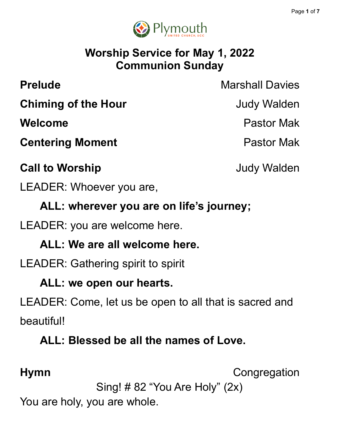

# **Worship Service for May 1, 2022 Communion Sunday**

**Prelude** Marshall Davies

**Chiming of the Hour Chiming of the Hour** 

**Centering Moment Centering Moment** 

# **Call to Worship Call to Worship Judy Walden**

LEADER: Whoever you are,

**ALL: wherever you are on life's journey;**

LEADER: you are welcome here.

# **ALL: We are all welcome here.**

LEADER: Gathering spirit to spirit

### **ALL: we open our hearts.**

LEADER: Come, let us be open to all that is sacred and beautiful!

### **ALL: Blessed be all the names of Love.**

**Hymn** Congregation

Sing! # 82 "You Are Holy" (2x)

You are holy, you are whole.

**Welcome** Pastor Mak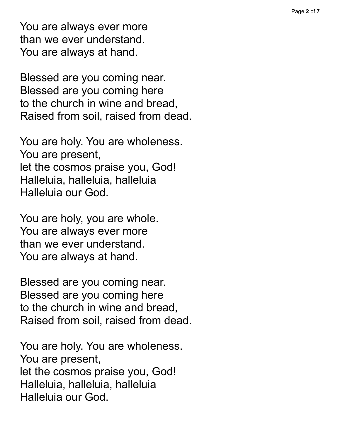You are always ever more than we ever understand. You are always at hand.

Blessed are you coming near. Blessed are you coming here to the church in wine and bread, Raised from soil, raised from dead.

You are holy. You are wholeness. You are present, let the cosmos praise you, God! Halleluia, halleluia, halleluia Halleluia our God.

You are holy, you are whole. You are always ever more than we ever understand. You are always at hand.

Blessed are you coming near. Blessed are you coming here to the church in wine and bread, Raised from soil, raised from dead.

You are holy. You are wholeness. You are present, let the cosmos praise you, God! Halleluia, halleluia, halleluia Halleluia our God.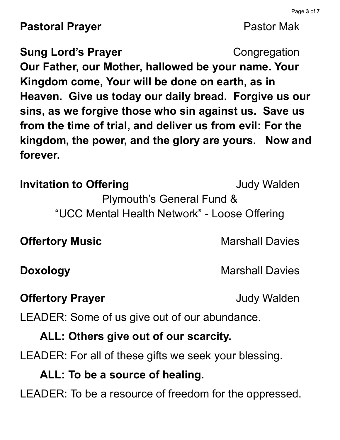**Pastoral Prayer Pastor Mak** 

**Sung Lord's Prayer Congregation Our Father, our Mother, hallowed be your name. Your Kingdom come, Your will be done on earth, as in Heaven. Give us today our daily bread. Forgive us our sins, as we forgive those who sin against us. Save us from the time of trial, and deliver us from evil: For the kingdom, the power, and the glory are yours. Now and forever.**

**Invitation to Offering The Contract Contract Service State State State State State State State State State State State State State State State State State State State State State State State State State State State Stat** Plymouth's General Fund & "UCC Mental Health Network" - Loose Offering

**Offertory Music Marshall Davies** 

### **Offertory Prayer Contract Contract Contract Contract Contract Contract Contract Contract Contract Contract Contract Contract Contract Contract Contract Contract Contract Contract Contract Contract Contract Contract Cont**

LEADER: Some of us give out of our abundance.

# **ALL: Others give out of our scarcity.**

LEADER: For all of these gifts we seek your blessing.

# **ALL: To be a source of healing.**

LEADER: To be a resource of freedom for the oppressed.

**Doxology** Marshall Davies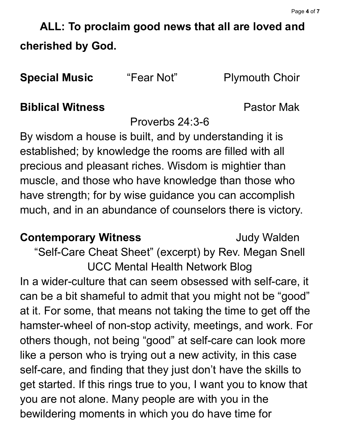**ALL: To proclaim good news that all are loved and cherished by God.**

**Special Music** "Fear Not" Plymouth Choir

### **Biblical Witness** Pastor Mak

Proverbs 24:3-6

By wisdom a house is built, and by understanding it is established; by knowledge the rooms are filled with all precious and pleasant riches. Wisdom is mightier than muscle, and those who have knowledge than those who have strength; for by wise guidance you can accomplish much, and in an abundance of counselors there is victory.

### **Contemporary Witness Judy Walden**

"Self-Care Cheat Sheet" (excerpt) by Rev. Megan Snell UCC Mental Health Network Blog In a wider-culture that can seem obsessed with self-care, it can be a bit shameful to admit that you might not be "good" at it. For some, that means not taking the time to get off the hamster-wheel of non-stop activity, meetings, and work. For others though, not being "good" at self-care can look more like a person who is trying out a new activity, in this case self-care, and finding that they just don't have the skills to get started. If this rings true to you, I want you to know that you are not alone. Many people are with you in the bewildering moments in which you do have time for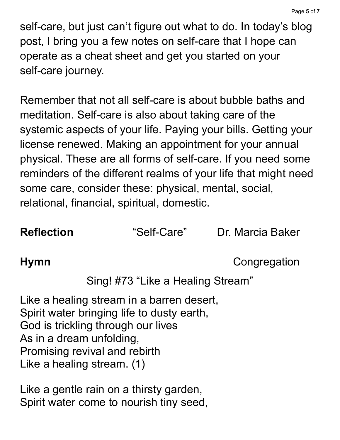self-care, but just can't figure out what to do. In today's blog post, I bring you a few notes on self-care that I hope can operate as a cheat sheet and get you started on your self-care journey.

Remember that not all self-care is about bubble baths and meditation. Self-care is also about taking care of the systemic aspects of your life. Paying your bills. Getting your license renewed. Making an appointment for your annual physical. These are all forms of self-care. If you need some reminders of the different realms of your life that might need some care, consider these: physical, mental, social, relational, financial, spiritual, domestic.

**Reflection •• "Self-Care"** Dr. Marcia Baker

**Hymn** Congregation

Sing! #73 "Like a Healing Stream"

Like a healing stream in a barren desert, Spirit water bringing life to dusty earth, God is trickling through our lives As in a dream unfolding, Promising revival and rebirth Like a healing stream. (1)

Like a gentle rain on a thirsty garden, Spirit water come to nourish tiny seed,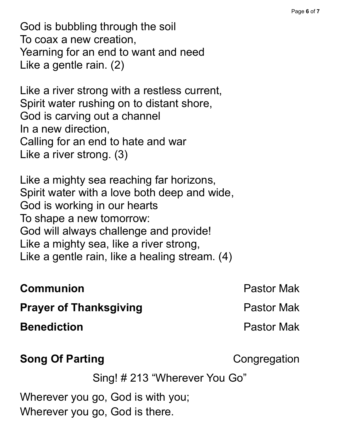God is bubbling through the soil To coax a new creation, Yearning for an end to want and need Like a gentle rain. (2)

Like a river strong with a restless current, Spirit water rushing on to distant shore, God is carving out a channel In a new direction, Calling for an end to hate and war Like a river strong. (3)

Like a mighty sea reaching far horizons, Spirit water with a love both deep and wide, God is working in our hearts To shape a new tomorrow: God will always challenge and provide! Like a mighty sea, like a river strong, Like a gentle rain, like a healing stream. (4)

| <b>Communion</b>              | <b>Pastor Mak</b> |
|-------------------------------|-------------------|
| <b>Prayer of Thanksgiving</b> | <b>Pastor Mak</b> |
| <b>Benediction</b>            | <b>Pastor Mak</b> |
| <b>Song Of Parting</b>        | Congregation      |

Sing! # 213 "Wherever You Go"

Wherever you go, God is with you; Wherever you go, God is there.